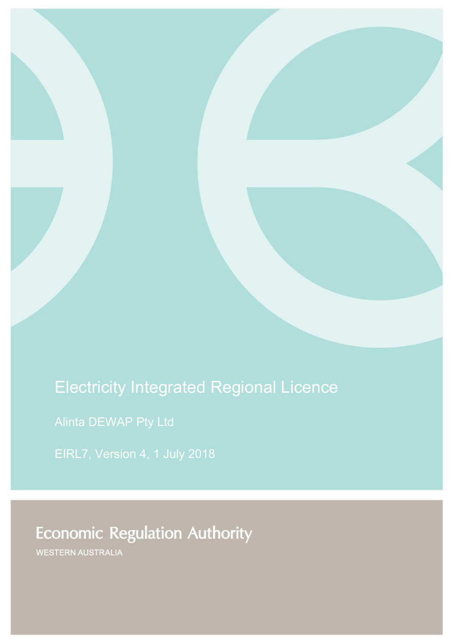# Electricity Integrated Regional Licence

Alinta DEWAP Pty Ltd

EIRL7, Version 4, 1 July 2018

**Economic Regulation Authority** 

WESTERN AUSTRALIA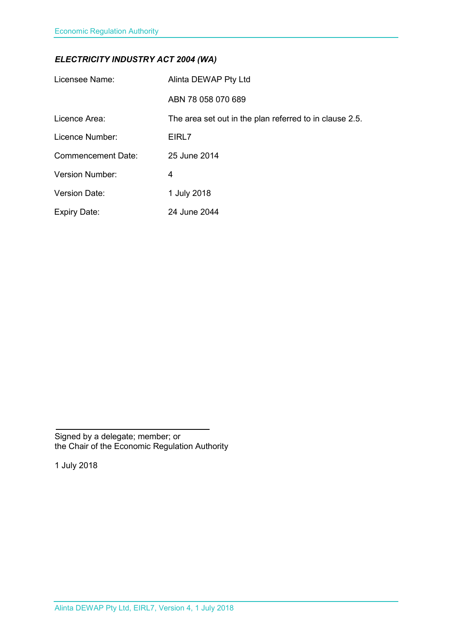# *ELECTRICITY INDUSTRY ACT 2004 (WA)*

| Licensee Name:            | Alinta DEWAP Pty Ltd                                    |
|---------------------------|---------------------------------------------------------|
|                           | ABN 78 058 070 689                                      |
| Licence Area:             | The area set out in the plan referred to in clause 2.5. |
| Licence Number:           | EIRL7                                                   |
| <b>Commencement Date:</b> | 25 June 2014                                            |
| <b>Version Number:</b>    | 4                                                       |
| <b>Version Date:</b>      | 1 July 2018                                             |
| <b>Expiry Date:</b>       | 24 June 2044                                            |

Signed by a delegate; member; or the Chair of the Economic Regulation Authority

1 July 2018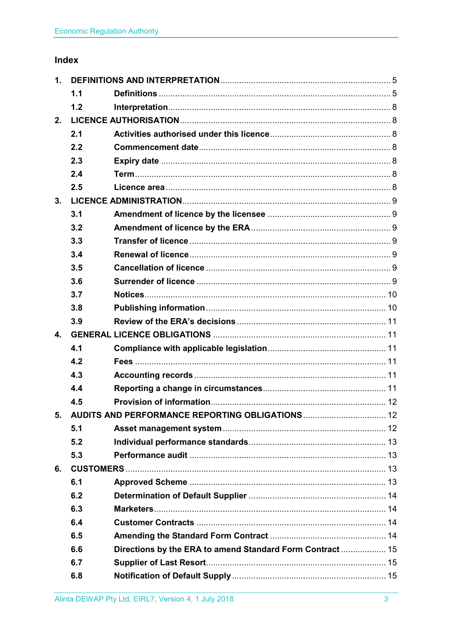# Index

| 1. |     |                                                           |  |  |
|----|-----|-----------------------------------------------------------|--|--|
|    | 1.1 |                                                           |  |  |
|    | 1.2 |                                                           |  |  |
| 2. |     |                                                           |  |  |
|    | 2.1 |                                                           |  |  |
|    | 2.2 |                                                           |  |  |
|    | 2.3 |                                                           |  |  |
|    | 2.4 |                                                           |  |  |
|    | 2.5 |                                                           |  |  |
| 3. |     |                                                           |  |  |
|    | 3.1 |                                                           |  |  |
|    | 3.2 |                                                           |  |  |
|    | 3.3 |                                                           |  |  |
|    | 3.4 |                                                           |  |  |
|    | 3.5 |                                                           |  |  |
|    | 3.6 |                                                           |  |  |
|    | 3.7 |                                                           |  |  |
|    | 3.8 |                                                           |  |  |
|    | 3.9 |                                                           |  |  |
| 4. |     |                                                           |  |  |
|    | 4.1 |                                                           |  |  |
|    | 4.2 |                                                           |  |  |
|    | 4.3 |                                                           |  |  |
|    | 4.4 |                                                           |  |  |
|    | 4.5 |                                                           |  |  |
|    |     | 5. AUDITS AND PERFORMANCE REPORTING OBLIGATIONS  12       |  |  |
|    | 5.1 |                                                           |  |  |
|    | 5.2 |                                                           |  |  |
|    | 5.3 |                                                           |  |  |
| 6. |     |                                                           |  |  |
|    | 6.1 |                                                           |  |  |
|    | 6.2 |                                                           |  |  |
|    | 6.3 |                                                           |  |  |
|    | 6.4 |                                                           |  |  |
|    | 6.5 |                                                           |  |  |
|    | 6.6 | Directions by the ERA to amend Standard Form Contract  15 |  |  |
|    | 6.7 |                                                           |  |  |
|    | 6.8 |                                                           |  |  |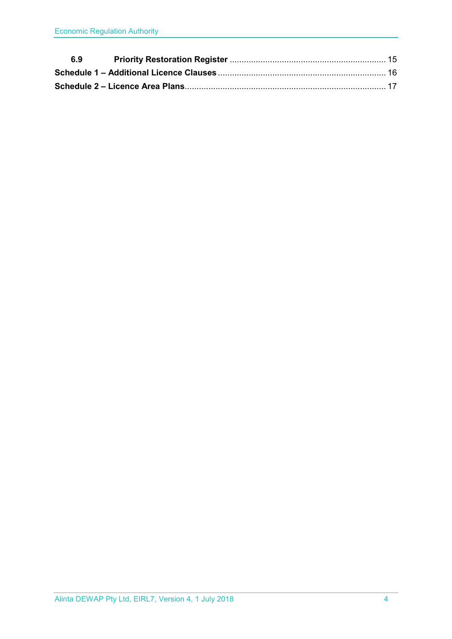| 6.9 |  |
|-----|--|
|     |  |
|     |  |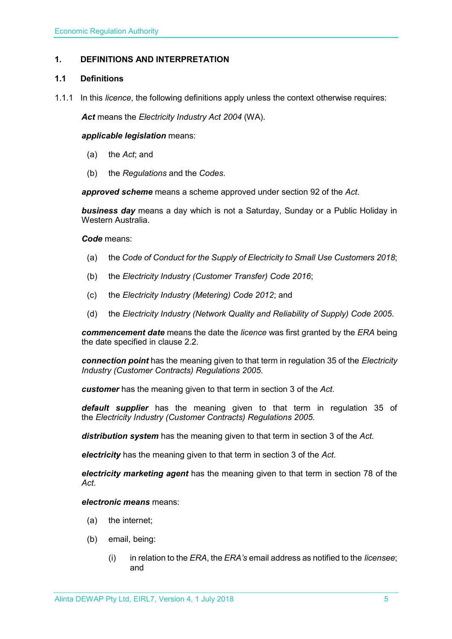#### <span id="page-4-0"></span>**1. DEFINITIONS AND INTERPRETATION**

#### <span id="page-4-1"></span>**1.1 Definitions**

1.1.1 In this *licence*, the following definitions apply unless the context otherwise requires:

*Act* means the *Electricity Industry Act 2004* (WA).

#### *applicable legislation* means:

- (a) the *Act*; and
- (b) the *Regulations* and the *Codes*.

*approved scheme* means a scheme approved under section 92 of the *Act*.

*business day* means a day which is not a Saturday, Sunday or a Public Holiday in Western Australia.

#### *Code* means:

- (a) the *Code of Conduct for the Supply of Electricity to Small Use Customers 2018*;
- (b) the *Electricity Industry (Customer Transfer) Code 2016*;
- (c) the *Electricity Industry (Metering) Code 2012*; and
- (d) the *Electricity Industry (Network Quality and Reliability of Supply) Code 2005*.

*commencement date* means the date the *licence* was first granted by the *ERA* being the date specified in clause 2.2.

*connection point* has the meaning given to that term in regulation 35 of the *[Electricity](http://www.slp.wa.gov.au/legislation/statutes.nsf/main_mrtitle_1345_homepage.html)  [Industry \(Customer Contracts\) Regulations 2005](http://www.slp.wa.gov.au/legislation/statutes.nsf/main_mrtitle_1345_homepage.html)*.

*customer* has the meaning given to that term in section 3 of the *Act*.

*default supplier* has the meaning given to that term in regulation 35 of the *Electricity [Industry \(Customer Contracts\) Regulations 2005.](http://www.slp.wa.gov.au/legislation/statutes.nsf/main_mrtitle_1345_homepage.html)*

*distribution system* has the meaning given to that term in section 3 of the *Act*.

*electricity* has the meaning given to that term in section 3 of the *Act*.

*electricity marketing agent* has the meaning given to that term in section 78 of the *Act*.

#### *electronic means* means:

- (a) the internet;
- (b) email, being:
	- (i) in relation to the *ERA*, the *ERA's* email address as notified to the *licensee*; and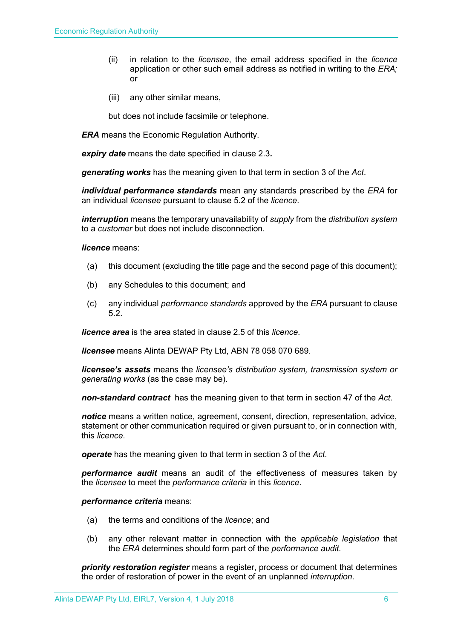- (ii) in relation to the *licensee*, the email address specified in the *licence* application or other such email address as notified in writing to the *ERA;* or
- (iii) any other similar means,

but does not include facsimile or telephone.

*ERA* means the Economic Regulation Authority.

*expiry date* means the date specified in clause 2.3*.*

*generating works* has the meaning given to that term in section 3 of the *Act*.

*individual performance standards* mean any standards prescribed by the *ERA* for an individual *licensee* pursuant to clause 5.2 of the *licence*.

*interruption* means the temporary unavailability of *supply* from the *distribution system* to a *customer* but does not include disconnection.

*licence* means:

- (a) this document (excluding the title page and the second page of this document);
- (b) any Schedules to this document; and
- (c) any individual *performance standards* approved by the *ERA* pursuant to clause 5.2.

*licence area* is the area stated in clause 2.5 of this *licence*.

*licensee* means Alinta DEWAP Pty Ltd, ABN 78 058 070 689.

*licensee's assets* means the *licensee's distribution system, transmission system or generating works* (as the case may be).

*non-standard contract* has the meaning given to that term in section 47 of the *Act*.

*notice* means a written notice, agreement, consent, direction, representation, advice, statement or other communication required or given pursuant to, or in connection with, this *licence*.

*operate* has the meaning given to that term in section 3 of the *Act*.

*performance audit* means an audit of the effectiveness of measures taken by the *licensee* to meet the *performance criteria* in this *licence*.

*performance criteria* means:

- (a) the terms and conditions of the *licence*; and
- (b) any other relevant matter in connection with the *applicable legislation* that the *ERA* determines should form part of the *performance audit*.

*priority restoration register* means a register, process or document that determines the order of restoration of power in the event of an unplanned *interruption*.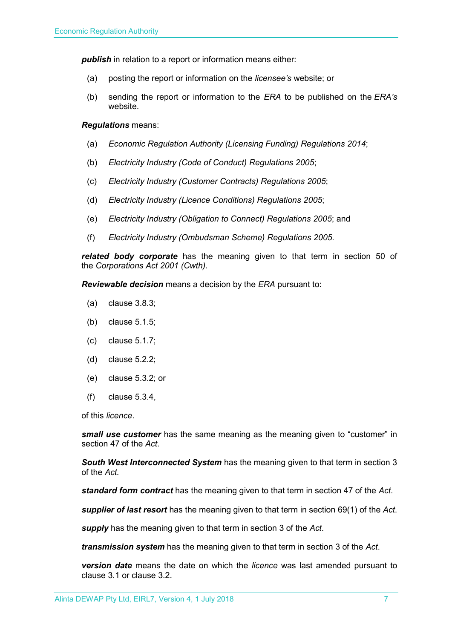**publish** in relation to a report or information means either:

- (a) posting the report or information on the *licensee's* website; or
- (b) sending the report or information to the *ERA* to be published on the *ERA's* website.

#### *Regulations* means:

- (a) *Economic Regulation Authority (Licensing Funding) Regulations 2014*;
- (b) *Electricity Industry (Code of Conduct) Regulations 2005*;
- (c) *Electricity Industry (Customer Contracts) Regulations 2005*;
- (d) *Electricity Industry (Licence Conditions) Regulations 2005*;
- (e) *Electricity Industry (Obligation to Connect) Regulations 2005*; and
- (f) *Electricity Industry (Ombudsman Scheme) Regulations 2005.*

*related body corporate* has the meaning given to that term in section 50 of the *Corporations Act 2001 (Cwth)*.

*Reviewable decision* means a decision by the *ERA* pursuant to:

- (a) clause 3.8.3;
- (b) clause 5.1.5;
- (c) clause 5.1.7;
- (d) clause 5.2.2;
- (e) clause 5.3.2; or
- (f) clause 5.3.4,

of this *licence*.

*small use customer* has the same meaning as the meaning given to "customer" in section 47 of the *Act*.

*South West Interconnected System* has the meaning given to that term in section 3 of the *Act.* 

*standard form contract* has the meaning given to that term in section 47 of the *Act*.

*supplier of last resort* has the meaning given to that term in section 69(1) of the *Act*.

*supply* has the meaning given to that term in section 3 of the *Act*.

*transmission system* has the meaning given to that term in section 3 of the *Act*.

*version date* means the date on which the *licence* was last amended pursuant to clause 3.1 or clause 3.2.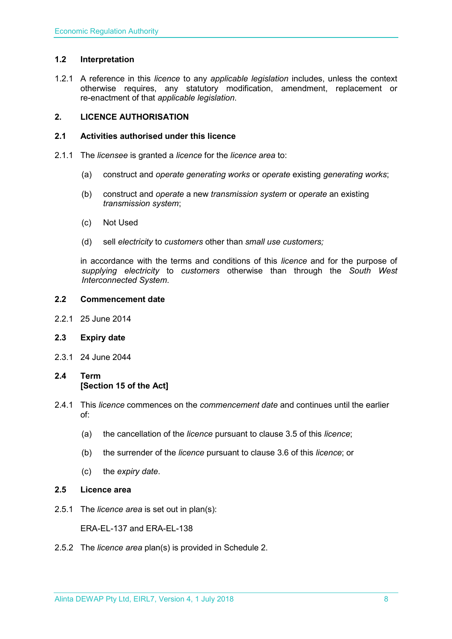#### <span id="page-7-0"></span>**1.2 Interpretation**

1.2.1 A reference in this *licence* to any *applicable legislation* includes, unless the context otherwise requires, any statutory modification, amendment, replacement or re-enactment of that *applicable legislation*.

#### <span id="page-7-1"></span>**2. LICENCE AUTHORISATION**

#### <span id="page-7-2"></span>**2.1 Activities authorised under this licence**

- 2.1.1 The *licensee* is granted a *licence* for the *licence area* to:
	- (a) construct and *operate generating works* or *operate* existing *generating works*;
	- (b) construct and *operate* a new *transmission system* or *operate* an existing *transmission system*;
	- (c) Not Used
	- (d) sell *electricity* to *customers* other than *small use customers;*

in accordance with the terms and conditions of this *licence* and for the purpose of *supplying electricity* to *customers* otherwise than through the *South West Interconnected System*.

#### <span id="page-7-3"></span>**2.2 Commencement date**

2.2.1 25 June 2014

#### <span id="page-7-4"></span>**2.3 Expiry date**

2.3.1 24 June 2044

### <span id="page-7-5"></span>**2.4 Term [Section 15 of the Act]**

- 2.4.1 This *licence* commences on the *commencement date* and continues until the earlier of:
	- (a) the cancellation of the *licence* pursuant to clause 3.5 of this *licence*;
	- (b) the surrender of the *licence* pursuant to clause 3.6 of this *licence*; or
	- (c) the *expiry date*.
- <span id="page-7-6"></span>**2.5 Licence area**
- 2.5.1 The *licence area* is set out in plan(s):

ERA-EL-137 and ERA-EL-138

2.5.2 The *licence area* plan(s) is provided in Schedule 2.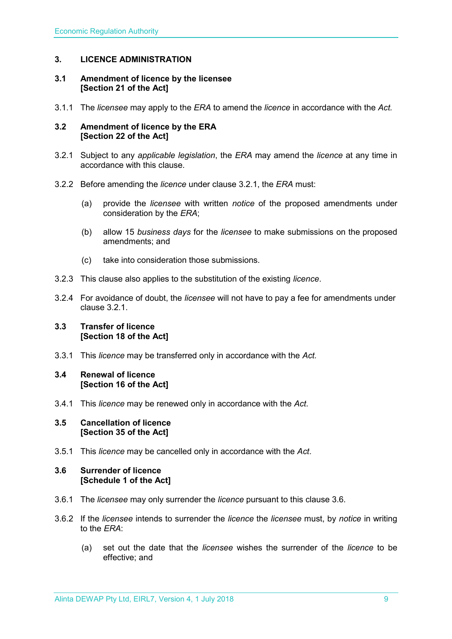#### <span id="page-8-0"></span>**3. LICENCE ADMINISTRATION**

#### <span id="page-8-1"></span>**3.1 Amendment of licence by the licensee [Section 21 of the Act]**

3.1.1 The *licensee* may apply to the *ERA* to amend the *licence* in accordance with the *Act.*

#### <span id="page-8-2"></span>**3.2 Amendment of licence by the ERA [Section 22 of the Act]**

- 3.2.1 Subject to any *applicable legislation*, the *ERA* may amend the *licence* at any time in accordance with this clause.
- 3.2.2 Before amending the *licence* under clause 3.2.1, the *ERA* must:
	- (a) provide the *licensee* with written *notice* of the proposed amendments under consideration by the *ERA*;
	- (b) allow 15 *business days* for the *licensee* to make submissions on the proposed amendments; and
	- (c) take into consideration those submissions.
- 3.2.3 This clause also applies to the substitution of the existing *licence*.
- 3.2.4 For avoidance of doubt, the *licensee* will not have to pay a fee for amendments under clause 3.2.1.

#### <span id="page-8-3"></span>**3.3 Transfer of licence [Section 18 of the Act]**

3.3.1 This *licence* may be transferred only in accordance with the *Act.*

#### <span id="page-8-4"></span>**3.4 Renewal of licence [Section 16 of the Act]**

3.4.1 This *licence* may be renewed only in accordance with the *Act*.

#### <span id="page-8-5"></span>**3.5 Cancellation of licence [Section 35 of the Act]**

3.5.1 This *licence* may be cancelled only in accordance with the *Act*.

#### <span id="page-8-6"></span>**3.6 Surrender of licence [Schedule 1 of the Act]**

- 3.6.1 The *licensee* may only surrender the *licence* pursuant to this clause 3.6.
- 3.6.2 If the *licensee* intends to surrender the *licence* the *licensee* must, by *notice* in writing to the *ERA*:
	- (a) set out the date that the *licensee* wishes the surrender of the *licence* to be effective; and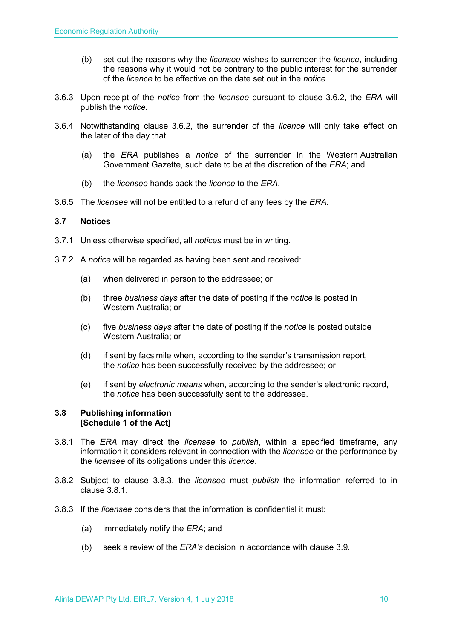- (b) set out the reasons why the *licensee* wishes to surrender the *licence*, including the reasons why it would not be contrary to the public interest for the surrender of the *licence* to be effective on the date set out in the *notice*.
- 3.6.3 Upon receipt of the *notice* from the *licensee* pursuant to clause 3.6.2, the *ERA* will publish the *notice*.
- 3.6.4 Notwithstanding clause 3.6.2, the surrender of the *licence* will only take effect on the later of the day that:
	- (a) the *ERA* publishes a *notice* of the surrender in the Western Australian Government Gazette, such date to be at the discretion of the *ERA*; and
	- (b) the *licensee* hands back the *licence* to the *ERA*.
- 3.6.5 The *licensee* will not be entitled to a refund of any fees by the *ERA*.

#### <span id="page-9-0"></span>**3.7 Notices**

- 3.7.1 Unless otherwise specified, all *notices* must be in writing.
- 3.7.2 A *notice* will be regarded as having been sent and received:
	- (a) when delivered in person to the addressee; or
	- (b) three *business days* after the date of posting if the *notice* is posted in Western Australia; or
	- (c) five *business days* after the date of posting if the *notice* is posted outside Western Australia; or
	- (d) if sent by facsimile when, according to the sender's transmission report, the *notice* has been successfully received by the addressee; or
	- (e) if sent by *electronic means* when, according to the sender's electronic record, the *notice* has been successfully sent to the addressee.

#### <span id="page-9-1"></span>**3.8 Publishing information [Schedule 1 of the Act]**

- 3.8.1 The *ERA* may direct the *licensee* to *publish*, within a specified timeframe, any information it considers relevant in connection with the *licensee* or the performance by the *licensee* of its obligations under this *licence*.
- 3.8.2 Subject to clause 3.8.3, the *licensee* must *publish* the information referred to in clause 3.8.1.
- 3.8.3 If the *licensee* considers that the information is confidential it must:
	- (a) immediately notify the *ERA*; and
	- (b) seek a review of the *ERA's* decision in accordance with clause 3.9.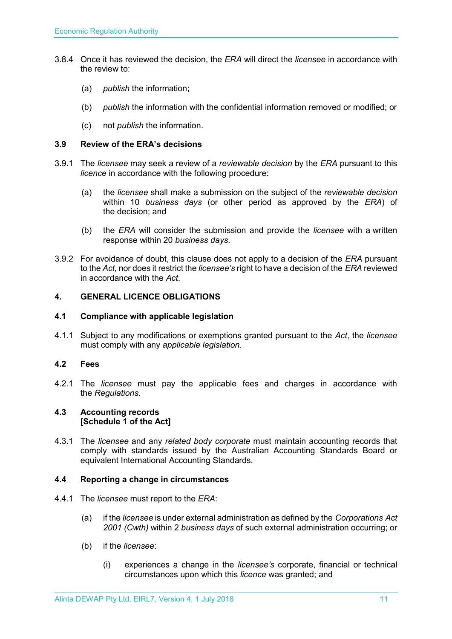- 3.8.4 Once it has reviewed the decision, the *ERA* will direct the *licensee* in accordance with the review to:
	- (a) *publish* the information;
	- (b) *publish* the information with the confidential information removed or modified; or
	- (c) not *publish* the information.

#### <span id="page-10-0"></span>**3.9 Review of the ERA's decisions**

- 3.9.1 The *licensee* may seek a review of a *reviewable decision* by the *ERA* pursuant to this *licence* in accordance with the following procedure:
	- (a) the *licensee* shall make a submission on the subject of the *reviewable decision* within 10 *business days* (or other period as approved by the *ERA*) of the decision; and
	- (b) the *ERA* will consider the submission and provide the *licensee* with a written response within 20 *business days*.
- 3.9.2 For avoidance of doubt, this clause does not apply to a decision of the *ERA* pursuant to the *Act*, nor does it restrict the *licensee's* right to have a decision of the *ERA* reviewed in accordance with the *Act*.

#### <span id="page-10-1"></span>**4. GENERAL LICENCE OBLIGATIONS**

#### <span id="page-10-2"></span>**4.1 Compliance with applicable legislation**

4.1.1 Subject to any modifications or exemptions granted pursuant to the *Act*, the *licensee* must comply with any *applicable legislation*.

#### <span id="page-10-3"></span>**4.2 Fees**

4.2.1 The *licensee* must pay the applicable fees and charges in accordance with the *Regulations*.

#### <span id="page-10-4"></span>**4.3 Accounting records [Schedule 1 of the Act]**

4.3.1 The *licensee* and any *related body corporate* must maintain accounting records that comply with standards issued by the Australian Accounting Standards Board or equivalent International Accounting Standards.

#### <span id="page-10-5"></span>**4.4 Reporting a change in circumstances**

- 4.4.1 The *licensee* must report to the *ERA*:
	- (a) if the *licensee* is under external administration as defined by the *Corporations Act 2001 (Cwth)* within 2 *business days* of such external administration occurring; or
	- (b) if the *licensee*:
		- (i) experiences a change in the *licensee's* corporate, financial or technical circumstances upon which this *licence* was granted; and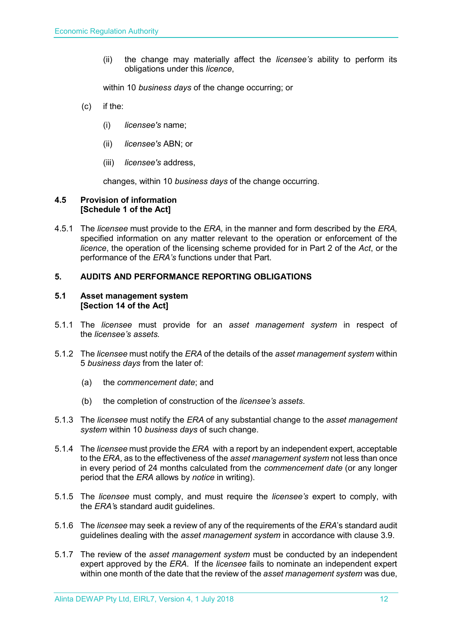(ii) the change may materially affect the *licensee's* ability to perform its obligations under this *licence*,

within 10 *business days* of the change occurring; or

- (c) if the:
	- (i) *licensee's* name;
	- (ii) *licensee's* ABN; or
	- (iii) *licensee's* address,

changes, within 10 *business days* of the change occurring.

#### <span id="page-11-0"></span>**4.5 Provision of information [Schedule 1 of the Act]**

4.5.1 The *licensee* must provide to the *ERA,* in the manner and form described by the *ERA,*  specified information on any matter relevant to the operation or enforcement of the *licence*, the operation of the licensing scheme provided for in Part 2 of the *Act*, or the performance of the *ERA's* functions under that Part.

#### <span id="page-11-1"></span>**5. AUDITS AND PERFORMANCE REPORTING OBLIGATIONS**

#### <span id="page-11-2"></span>**5.1 Asset management system [Section 14 of the Act]**

- 5.1.1 The *licensee* must provide for an *asset management system* in respect of the *licensee's assets.*
- 5.1.2 The *licensee* must notify the *ERA* of the details of the *asset management system* within 5 *business days* from the later of:
	- (a) the *commencement date*; and
	- (b) the completion of construction of the *licensee's assets*.
- 5.1.3 The *licensee* must notify the *ERA* of any substantial change to the *asset management system* within 10 *business days* of such change.
- 5.1.4 The *licensee* must provide the *ERA* with a report by an independent expert, acceptable to the *ERA*, as to the effectiveness of the *asset management system* not less than once in every period of 24 months calculated from the *commencement date* (or any longer period that the *ERA* allows by *notice* in writing).
- 5.1.5 The *licensee* must comply, and must require the *licensee's* expert to comply, with the *ERA'*s standard audit guidelines.
- 5.1.6 The *licensee* may seek a review of any of the requirements of the *ERA*'s standard audit guidelines dealing with the *asset management system* in accordance with clause 3.9.
- 5.1.7 The review of the *asset management system* must be conducted by an independent expert approved by the *ERA*. If the *licensee* fails to nominate an independent expert within one month of the date that the review of the *asset management system* was due,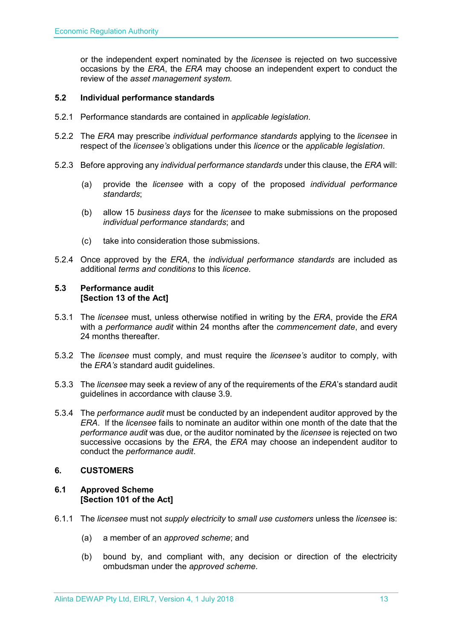or the independent expert nominated by the *licensee* is rejected on two successive occasions by the *ERA*, the *ERA* may choose an independent expert to conduct the review of the *asset management system.*

#### <span id="page-12-0"></span>**5.2 Individual performance standards**

- 5.2.1 Performance standards are contained in *applicable legislation*.
- 5.2.2 The *ERA* may prescribe *individual performance standards* applying to the *licensee* in respect of the *licensee's* obligations under this *licence* or the *applicable legislation*.
- 5.2.3 Before approving any *individual performance standards* under this clause, the *ERA* will:
	- (a) provide the *licensee* with a copy of the proposed *individual performance standards*;
	- (b) allow 15 *business days* for the *licensee* to make submissions on the proposed *individual performance standards*; and
	- (c) take into consideration those submissions.
- 5.2.4 Once approved by the *ERA*, the *individual performance standards* are included as additional *terms and conditions* to this *licence*.

#### <span id="page-12-1"></span>**5.3 Performance audit [Section 13 of the Act]**

- 5.3.1 The *licensee* must, unless otherwise notified in writing by the *ERA*, provide the *ERA* with a *performance audit* within 24 months after the *commencement date*, and every 24 months thereafter.
- 5.3.2 The *licensee* must comply, and must require the *licensee's* auditor to comply, with the *ERA's* standard audit guidelines.
- 5.3.3 The *licensee* may seek a review of any of the requirements of the *ERA*'s standard audit guidelines in accordance with clause 3.9.
- 5.3.4 The *performance audit* must be conducted by an independent auditor approved by the *ERA*. If the *licensee* fails to nominate an auditor within one month of the date that the *performance audit* was due, or the auditor nominated by the *licensee* is rejected on two successive occasions by the *ERA*, the *ERA* may choose an independent auditor to conduct the *performance audit*.

#### <span id="page-12-2"></span>**6. CUSTOMERS**

#### <span id="page-12-3"></span>**6.1 Approved Scheme [Section 101 of the Act]**

- 6.1.1 The *licensee* must not *supply electricity* to *small use customers* unless the *licensee* is:
	- (a) a member of an *approved scheme*; and
	- (b) bound by, and compliant with, any decision or direction of the electricity ombudsman under the *approved scheme*.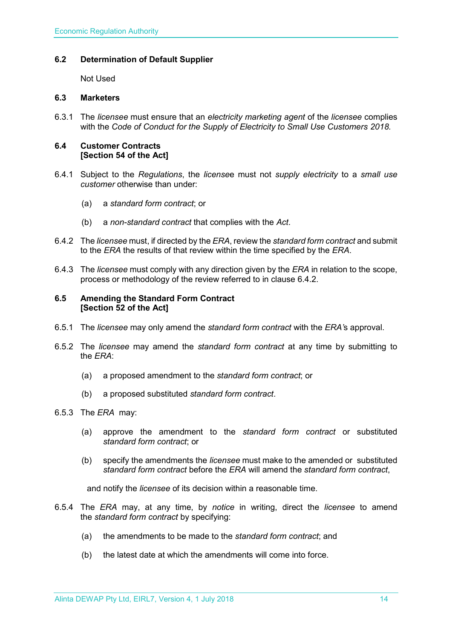#### <span id="page-13-0"></span>**6.2 Determination of Default Supplier**

Not Used

### <span id="page-13-1"></span>**6.3 Marketers**

6.3.1 The *licensee* must ensure that an *electricity marketing agent* of the *licensee* complies with the *Code of Conduct for the Supply of Electricity to Small Use Customers 2018.*

#### <span id="page-13-2"></span>**6.4 Customer Contracts [Section 54 of the Act]**

- 6.4.1 Subject to the *Regulations*, the *license*e must not *supply electricity* to a *small use customer* otherwise than under:
	- (a) a *standard form contract*; or
	- (b) a *non-standard contract* that complies with the *Act*.
- 6.4.2 The *licensee* must, if directed by the *ERA*, review the *standard form contract* and submit to the *ERA* the results of that review within the time specified by the *ERA*.
- 6.4.3 The *licensee* must comply with any direction given by the *ERA* in relation to the scope, process or methodology of the review referred to in clause 6.4.2.

#### <span id="page-13-3"></span>**6.5 Amending the Standard Form Contract [Section 52 of the Act]**

- 6.5.1 The *licensee* may only amend the *standard form contract* with the *ERA'*s approval.
- 6.5.2 The *licensee* may amend the *standard form contract* at any time by submitting to the *ERA*:
	- (a) a proposed amendment to the *standard form contract*; or
	- (b) a proposed substituted *standard form contract*.
- 6.5.3 The *ERA* may:
	- (a) approve the amendment to the *standard form contract* or substituted *standard form contract*; or
	- (b) specify the amendments the *licensee* must make to the amended or substituted *standard form contract* before the *ERA* will amend the *standard form contract*,

and notify the *licensee* of its decision within a reasonable time.

- 6.5.4 The *ERA* may, at any time, by *notice* in writing, direct the *licensee* to amend the *standard form contract* by specifying:
	- (a) the amendments to be made to the *standard form contract*; and
	- (b) the latest date at which the amendments will come into force.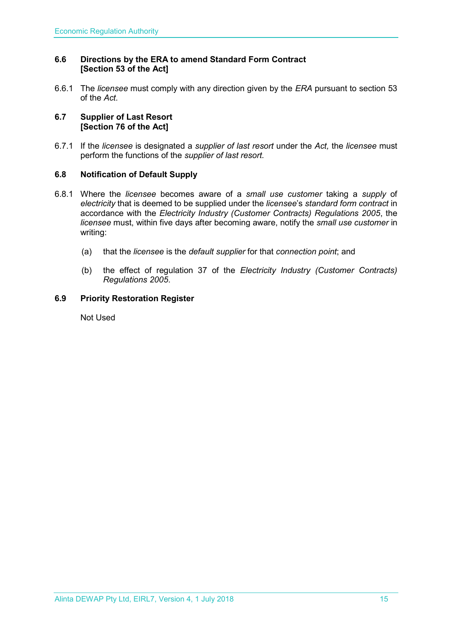#### <span id="page-14-0"></span>**6.6 Directions by the ERA to amend Standard Form Contract [Section 53 of the Act]**

6.6.1 The *licensee* must comply with any direction given by the *ERA* pursuant to section 53 of the *Act.* 

#### <span id="page-14-1"></span>**6.7 Supplier of Last Resort [Section 76 of the Act]**

6.7.1 If the *licensee* is designated a *supplier of last resort* under the *Act,* the *licensee* must perform the functions of the *supplier of last resort.* 

#### <span id="page-14-2"></span>**6.8 Notification of Default Supply**

- 6.8.1 Where the *licensee* becomes aware of a *small use customer* taking a *supply* of *electricity* that is deemed to be supplied under the *licensee*'s *standard form contract* in accordance with the *[Electricity Industry \(Customer Contracts\) Regulations 2005](http://www.slp.wa.gov.au/legislation/statutes.nsf/main_mrtitle_1345_homepage.html)*, the *licensee* must, within five days after becoming aware, notify the *small use customer* in writing:
	- (a) that the *licensee* is the *default supplier* for that *connection point*; and
	- (b) the effect of regulation 37 of the *[Electricity Industry \(Customer Contracts\)](http://www.slp.wa.gov.au/legislation/statutes.nsf/main_mrtitle_1345_homepage.html)  [Regulations 2005](http://www.slp.wa.gov.au/legislation/statutes.nsf/main_mrtitle_1345_homepage.html)*.

#### <span id="page-14-3"></span>**6.9 Priority Restoration Register**

Not Used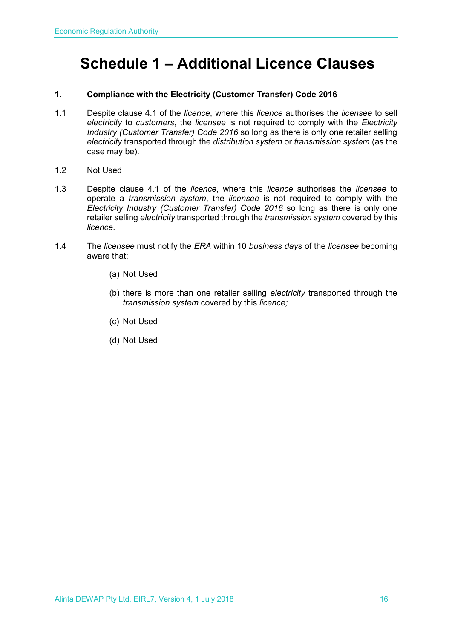# <span id="page-15-0"></span>**Schedule 1 – Additional Licence Clauses**

#### **1. Compliance with the Electricity (Customer Transfer) Code 2016**

- 1.1 Despite clause 4.1 of the *licence*, where this *licence* authorises the *licensee* to sell *electricity* to *customers*, the *licensee* is not required to comply with the *Electricity Industry (Customer Transfer) Code 2016* so long as there is only one retailer selling *electricity* transported through the *distribution system* or *transmission system* (as the case may be).
- 1.2 Not Used
- 1.3 Despite clause 4.1 of the *licence*, where this *licence* authorises the *licensee* to operate a *transmission system*, the *licensee* is not required to comply with the *Electricity Industry (Customer Transfer) Code 2016* so long as there is only one retailer selling *electricity* transported through the *transmission system* covered by this *licence*.
- 1.4 The *licensee* must notify the *ERA* within 10 *business days* of the *licensee* becoming aware that:
	- (a) Not Used
	- (b) there is more than one retailer selling *electricity* transported through the *transmission system* covered by this *licence;*
	- (c) Not Used
	- (d) Not Used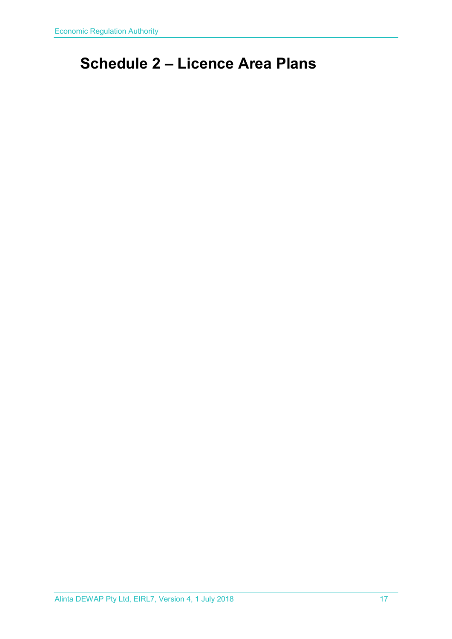# <span id="page-16-0"></span>**Schedule 2 – Licence Area Plans**